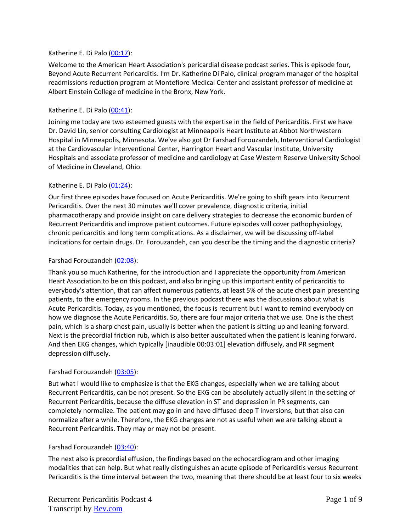### Katherine E. Di Palo [\(00:17\)](https://www.rev.com/transcript-editor/Edit?token=rUOAsp7MMV8l3K_1cwoXckoehtBhP4EjsfzNiYtf2PqG5FazkZXX94FflK6XTmpQ_GHhOoVCvj95pY198C8Hkq0dHg8&loadFrom=DocumentDeeplink&ts=17.17):

Welcome to the American Heart Association's pericardial disease podcast series. This is episode four, Beyond Acute Recurrent Pericarditis. I'm Dr. Katherine Di Palo, clinical program manager of the hospital readmissions reduction program at Montefiore Medical Center and assistant professor of medicine at Albert Einstein College of medicine in the Bronx, New York.

#### Katherine E. Di Palo [\(00:41\)](https://www.rev.com/transcript-editor/Edit?token=OyEWSsmoOKpwwVrfdG4RrEQjPOj6x7w3cgy3TYC9Wx63VKcXEfur0biI9orEbiKhu3C_JI5LnC8UK4bHx4YKjkQleS0&loadFrom=DocumentDeeplink&ts=41.25):

Joining me today are two esteemed guests with the expertise in the field of Pericarditis. First we have Dr. David Lin, senior consulting Cardiologist at Minneapolis Heart Institute at Abbot Northwestern Hospital in Minneapolis, Minnesota. We've also got Dr Farshad Forouzandeh, Interventional Cardiologist at the Cardiovascular Interventional Center, Harrington Heart and Vascular Institute, University Hospitals and associate professor of medicine and cardiology at Case Western Reserve University School of Medicine in Cleveland, Ohio.

#### Katherine E. Di Palo [\(01:24\)](https://www.rev.com/transcript-editor/Edit?token=pSLRywDYxEFeOkmCQgvxGrgwwqSJlUfGrG43U8lb0UEMVnmJprTTCf4RXwNpqlahjMa0jHZ1xKlpypKFKjpj5iMJpZA&loadFrom=DocumentDeeplink&ts=84.27):

Our first three episodes have focused on Acute Pericarditis. We're going to shift gears into Recurrent Pericarditis. Over the next 30 minutes we'll cover prevalence, diagnostic criteria, initial pharmacotherapy and provide insight on care delivery strategies to decrease the economic burden of Recurrent Pericarditis and improve patient outcomes. Future episodes will cover pathophysiology, chronic pericarditis and long term complications. As a disclaimer, we will be discussing off-label indications for certain drugs. Dr. Forouzandeh, can you describe the timing and the diagnostic criteria?

#### Farshad Forouzandeh [\(02:08\)](https://www.rev.com/transcript-editor/Edit?token=Ur04yRfb3kzrXoU5kBdwHQRiMiHUtrFTBHcfLvBSol8gb2pbqPGtQSRAPaoVT80re3JPzhkyFlk88Cnukikv7EVf0yM&loadFrom=DocumentDeeplink&ts=128.81):

Thank you so much Katherine, for the introduction and I appreciate the opportunity from American Heart Association to be on this podcast, and also bringing up this important entity of pericarditis to everybody's attention, that can affect numerous patients, at least 5% of the acute chest pain presenting patients, to the emergency rooms. In the previous podcast there was the discussions about what is Acute Pericarditis. Today, as you mentioned, the focus is recurrent but I want to remind everybody on how we diagnose the Acute Pericarditis. So, there are four major criteria that we use. One is the chest pain, which is a sharp chest pain, usually is better when the patient is sitting up and leaning forward. Next is the precordial friction rub, which is also better auscultated when the patient is leaning forward. And then EKG changes, which typically [inaudible 00:03:01] elevation diffusely, and PR segment depression diffusely.

#### Farshad Forouzandeh [\(03:05\)](https://www.rev.com/transcript-editor/Edit?token=RxYdBIJYGnFPRmYoqciSlb9Vz4aSOHr-PMbZXhNGY8zOClg6WMf2ka0Jol2ZEfmWDQUqkRsfcpH9M3g6tjvlCfsFqgs&loadFrom=DocumentDeeplink&ts=185.12):

But what I would like to emphasize is that the EKG changes, especially when we are talking about Recurrent Pericarditis, can be not present. So the EKG can be absolutely actually silent in the setting of Recurrent Pericarditis, because the diffuse elevation in ST and depression in PR segments, can completely normalize. The patient may go in and have diffused deep T inversions, but that also can normalize after a while. Therefore, the EKG changes are not as useful when we are talking about a Recurrent Pericarditis. They may or may not be present.

### Farshad Forouzandeh [\(03:40\)](https://www.rev.com/transcript-editor/Edit?token=mq0KGEbtpSj950bwQdiTil0kMynu70h7BSpqmg6q2d5Ht2RtVvOJl3EVXsiSBUtmt073mBscltkxke0ZscNCBjSQ8qU&loadFrom=DocumentDeeplink&ts=220.13):

The next also is precordial effusion, the findings based on the echocardiogram and other imaging modalities that can help. But what really distinguishes an acute episode of Pericarditis versus Recurrent Pericarditis is the time interval between the two, meaning that there should be at least four to six weeks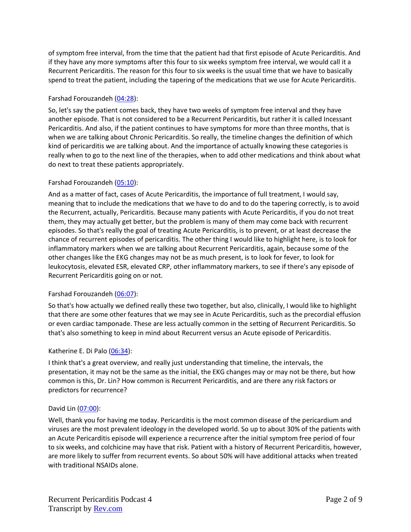of symptom free interval, from the time that the patient had that first episode of Acute Pericarditis. And if they have any more symptoms after this four to six weeks symptom free interval, we would call it a Recurrent Pericarditis. The reason for this four to six weeks is the usual time that we have to basically spend to treat the patient, including the tapering of the medications that we use for Acute Pericarditis.

## Farshad Forouzandeh [\(04:28\)](https://www.rev.com/transcript-editor/Edit?token=ESKh5nx6I5FhDEbwez62K3aqX3HaSi5qPWXQCVKMYOn0fI_zSwMP_6UKyhAbLKjMqpd9bm1eIQbl-IBPV9g0xRsUrII&loadFrom=DocumentDeeplink&ts=268.65):

So, let's say the patient comes back, they have two weeks of symptom free interval and they have another episode. That is not considered to be a Recurrent Pericarditis, but rather it is called Incessant Pericarditis. And also, if the patient continues to have symptoms for more than three months, that is when we are talking about Chronic Pericarditis. So really, the timeline changes the definition of which kind of pericarditis we are talking about. And the importance of actually knowing these categories is really when to go to the next line of the therapies, when to add other medications and think about what do next to treat these patients appropriately.

## Farshad Forouzandeh [\(05:10\)](https://www.rev.com/transcript-editor/Edit?token=MXG372_FMrUPHQ3WUvRBT3UdhYo4ELcjtNpa3BZQNO5TkdrkBRnipqGDm9gzOg6Z-m6CHf21iRq3O2c9XXwj3vZmrlg&loadFrom=DocumentDeeplink&ts=310.17):

And as a matter of fact, cases of Acute Pericarditis, the importance of full treatment, I would say, meaning that to include the medications that we have to do and to do the tapering correctly, is to avoid the Recurrent, actually, Pericarditis. Because many patients with Acute Pericarditis, if you do not treat them, they may actually get better, but the problem is many of them may come back with recurrent episodes. So that's really the goal of treating Acute Pericarditis, is to prevent, or at least decrease the chance of recurrent episodes of pericarditis. The other thing I would like to highlight here, is to look for inflammatory markers when we are talking about Recurrent Pericarditis, again, because some of the other changes like the EKG changes may not be as much present, is to look for fever, to look for leukocytosis, elevated ESR, elevated CRP, other inflammatory markers, to see if there's any episode of Recurrent Pericarditis going on or not.

### Farshad Forouzandeh [\(06:07\)](https://www.rev.com/transcript-editor/Edit?token=oWBMsIk-YTfqM37m5pKIjE5-gGe8xrwk83TUxYiJzeZuILE6yMUZw2L97KaVks5ZgNISMGlUivr9JsGG1cLvtTbQzlk&loadFrom=DocumentDeeplink&ts=367.86):

So that's how actually we defined really these two together, but also, clinically, I would like to highlight that there are some other features that we may see in Acute Pericarditis, such as the precordial effusion or even cardiac tamponade. These are less actually common in the setting of Recurrent Pericarditis. So that's also something to keep in mind about Recurrent versus an Acute episode of Pericarditis.

### Katherine E. Di Palo [\(06:34\)](https://www.rev.com/transcript-editor/Edit?token=UYhXk5XsgAOYdu4eYv6yL2Gnbrm4BEHSLyPoJiZ_ua0I1nM0r301alMeckUYoENKjdjOYI7h3qE8H_QNaiyvkO-Pl-s&loadFrom=DocumentDeeplink&ts=394.59):

I think that's a great overview, and really just understanding that timeline, the intervals, the presentation, it may not be the same as the initial, the EKG changes may or may not be there, but how common is this, Dr. Lin? How common is Recurrent Pericarditis, and are there any risk factors or predictors for recurrence?

### David Lin [\(07:00\)](https://www.rev.com/transcript-editor/Edit?token=nyf3FF_JHUAJbqsAdw8UCT4p7M88u4V1LDa9rFsbd3qqj3TyEI_g_G6nx6IDNrZfuSfWJiL3UKV0raxHYLs0UuXcB7s&loadFrom=DocumentDeeplink&ts=420.22):

Well, thank you for having me today. Pericarditis is the most common disease of the pericardium and viruses are the most prevalent ideology in the developed world. So up to about 30% of the patients with an Acute Pericarditis episode will experience a recurrence after the initial symptom free period of four to six weeks, and colchicine may have that risk. Patient with a history of Recurrent Pericarditis, however, are more likely to suffer from recurrent events. So about 50% will have additional attacks when treated with traditional NSAIDs alone.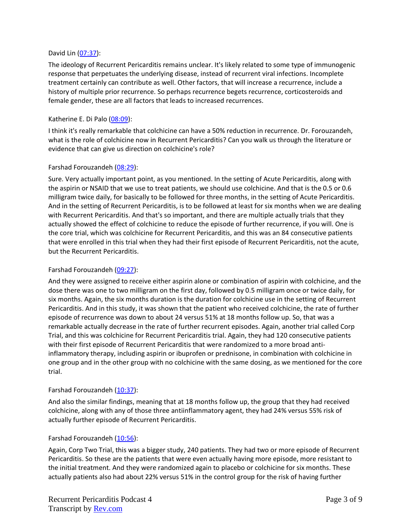#### David Lin [\(07:37\)](https://www.rev.com/transcript-editor/Edit?token=z6_j42OqZBBDPwqZI_HUlEINimRUK5P4vUidsUQVb1iWU8mEfz3ybNniZ_3yO8etd1_D7sDcqyCqnUykNhal9kQBKsc&loadFrom=DocumentDeeplink&ts=457.19):

The ideology of Recurrent Pericarditis remains unclear. It's likely related to some type of immunogenic response that perpetuates the underlying disease, instead of recurrent viral infections. Incomplete treatment certainly can contribute as well. Other factors, that will increase a recurrence, include a history of multiple prior recurrence. So perhaps recurrence begets recurrence, corticosteroids and female gender, these are all factors that leads to increased recurrences.

### Katherine E. Di Palo [\(08:09\)](https://www.rev.com/transcript-editor/Edit?token=sxDbVEYkD2EQGG5IuhcI6hkX2WQXL7_2kdW5_rsFWQQ_wmSqZ4bJQ3k6hgKqmSKgi8kTUFsQkTS4Y135kCmCMhvvrTg&loadFrom=DocumentDeeplink&ts=489.92):

I think it's really remarkable that colchicine can have a 50% reduction in recurrence. Dr. Forouzandeh, what is the role of colchicine now in Recurrent Pericarditis? Can you walk us through the literature or evidence that can give us direction on colchicine's role?

#### Farshad Forouzandeh [\(08:29\)](https://www.rev.com/transcript-editor/Edit?token=olDIuZxEIVtKjBdvjnWnTDzpTNynoT1Ys5tF1-IJ61iQyjpwEyJyLumpx3qWXUuARs7z-iLBoTYuVofYEK4LUsEBnlg&loadFrom=DocumentDeeplink&ts=509.53):

Sure. Very actually important point, as you mentioned. In the setting of Acute Pericarditis, along with the aspirin or NSAID that we use to treat patients, we should use colchicine. And that is the 0.5 or 0.6 milligram twice daily, for basically to be followed for three months, in the setting of Acute Pericarditis. And in the setting of Recurrent Pericarditis, is to be followed at least for six months when we are dealing with Recurrent Pericarditis. And that's so important, and there are multiple actually trials that they actually showed the effect of colchicine to reduce the episode of further recurrence, if you will. One is the core trial, which was colchicine for Recurrent Pericarditis, and this was an 84 consecutive patients that were enrolled in this trial when they had their first episode of Recurrent Pericarditis, not the acute, but the Recurrent Pericarditis.

### Farshad Forouzandeh [\(09:27\)](https://www.rev.com/transcript-editor/Edit?token=MGmFF5dAJUoojSU4pu978IMZa_w1r8q4T9lcA5hAtXGd2KUwQsD7iGqAEfO6Y13m6zKytDK0o_Pv9wuFzS1G9Qt7QZc&loadFrom=DocumentDeeplink&ts=567.18):

And they were assigned to receive either aspirin alone or combination of aspirin with colchicine, and the dose there was one to two milligram on the first day, followed by 0.5 milligram once or twice daily, for six months. Again, the six months duration is the duration for colchicine use in the setting of Recurrent Pericarditis. And in this study, it was shown that the patient who received colchicine, the rate of further episode of recurrence was down to about 24 versus 51% at 18 months follow up. So, that was a remarkable actually decrease in the rate of further recurrent episodes. Again, another trial called Corp Trial, and this was colchicine for Recurrent Pericarditis trial. Again, they had 120 consecutive patients with their first episode of Recurrent Pericarditis that were randomized to a more broad antiinflammatory therapy, including aspirin or ibuprofen or prednisone, in combination with colchicine in one group and in the other group with no colchicine with the same dosing, as we mentioned for the core trial.

### Farshad Forouzandeh [\(10:37\)](https://www.rev.com/transcript-editor/Edit?token=Bn_vHFb-hqi-l2TSG78ciSFkbVby6qizc8AGtV4Huka9TpX6TKkNJk6SE8-NBkrGsA2S2s-bOI-qR_Cp6brOM34WUXo&loadFrom=DocumentDeeplink&ts=637.36):

And also the similar findings, meaning that at 18 months follow up, the group that they had received colchicine, along with any of those three antiinflammatory agent, they had 24% versus 55% risk of actually further episode of Recurrent Pericarditis.

#### Farshad Forouzandeh [\(10:56\)](https://www.rev.com/transcript-editor/Edit?token=LAv6DgUYeYdQpIqC9szi96nwpytmV5mY5TiihlFdHlz3N-3o4YF3JAiOD2e9zn80OrNxvmIMHJyuE908su7JKyyVrqE&loadFrom=DocumentDeeplink&ts=656.63):

Again, Corp Two Trial, this was a bigger study, 240 patients. They had two or more episode of Recurrent Pericarditis. So these are the patients that were even actually having more episode, more resistant to the initial treatment. And they were randomized again to placebo or colchicine for six months. These actually patients also had about 22% versus 51% in the control group for the risk of having further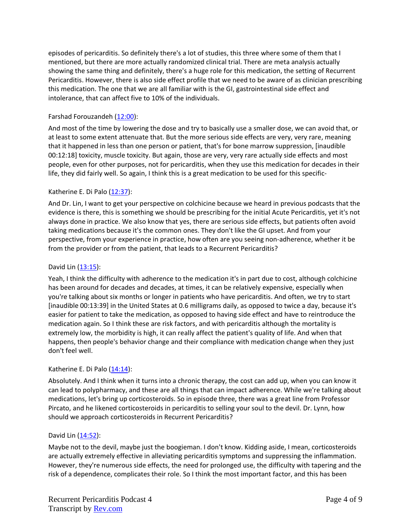episodes of pericarditis. So definitely there's a lot of studies, this three where some of them that I mentioned, but there are more actually randomized clinical trial. There are meta analysis actually showing the same thing and definitely, there's a huge role for this medication, the setting of Recurrent Pericarditis. However, there is also side effect profile that we need to be aware of as clinician prescribing this medication. The one that we are all familiar with is the GI, gastrointestinal side effect and intolerance, that can affect five to 10% of the individuals.

## Farshad Forouzandeh [\(12:00\)](https://www.rev.com/transcript-editor/Edit?token=KKlUe6vQ5CYsTLkgLLZJr82RFzpCgZ2EhrJeJDHNPkrUEWwzyXhHl1WT5d7UummlVYJPEQIFkCRE8AmhZqKDsEBxeSw&loadFrom=DocumentDeeplink&ts=720.84):

And most of the time by lowering the dose and try to basically use a smaller dose, we can avoid that, or at least to some extent attenuate that. But the more serious side effects are very, very rare, meaning that it happened in less than one person or patient, that's for bone marrow suppression, [inaudible 00:12:18] toxicity, muscle toxicity. But again, those are very, very rare actually side effects and most people, even for other purposes, not for pericarditis, when they use this medication for decades in their life, they did fairly well. So again, I think this is a great medication to be used for this specific-

## Katherine E. Di Palo [\(12:37\)](https://www.rev.com/transcript-editor/Edit?token=JK10rLk7QTS9ZKvNR49Q2UDgoAz6P3C0TdVaKYSfwZDOJpMqQ2hvWf0WCQzCT0YokJDnHuszRVlS8MEhNCJgtOX4IPQ&loadFrom=DocumentDeeplink&ts=757.49):

And Dr. Lin, I want to get your perspective on colchicine because we heard in previous podcasts that the evidence is there, this is something we should be prescribing for the initial Acute Pericarditis, yet it's not always done in practice. We also know that yes, there are serious side effects, but patients often avoid taking medications because it's the common ones. They don't like the GI upset. And from your perspective, from your experience in practice, how often are you seeing non-adherence, whether it be from the provider or from the patient, that leads to a Recurrent Pericarditis?

### David Lin [\(13:15\)](https://www.rev.com/transcript-editor/Edit?token=7PuhPtKFZNhjfNQav8SuY5XRRbNHgD26pU2uTPcU5X3O__poPMQg2-vLcgCE63fgibrqvvx1_8JD6JqXUzEAEUEoTp4&loadFrom=DocumentDeeplink&ts=795.53):

Yeah, I think the difficulty with adherence to the medication it's in part due to cost, although colchicine has been around for decades and decades, at times, it can be relatively expensive, especially when you're talking about six months or longer in patients who have pericarditis. And often, we try to start [inaudible 00:13:39] in the United States at 0.6 milligrams daily, as opposed to twice a day, because it's easier for patient to take the medication, as opposed to having side effect and have to reintroduce the medication again. So I think these are risk factors, and with pericarditis although the mortality is extremely low, the morbidity is high, it can really affect the patient's quality of life. And when that happens, then people's behavior change and their compliance with medication change when they just don't feel well.

### Katherine E. Di Palo  $(14:14)$ :

Absolutely. And I think when it turns into a chronic therapy, the cost can add up, when you can know it can lead to polypharmacy, and these are all things that can impact adherence. While we're talking about medications, let's bring up corticosteroids. So in episode three, there was a great line from Professor Pircato, and he likened corticosteroids in pericarditis to selling your soul to the devil. Dr. Lynn, how should we approach corticosteroids in Recurrent Pericarditis?

### David Lin  $(14:52)$ :

Maybe not to the devil, maybe just the boogieman. I don't know. Kidding aside, I mean, corticosteroids are actually extremely effective in alleviating pericarditis symptoms and suppressing the inflammation. However, they're numerous side effects, the need for prolonged use, the difficulty with tapering and the risk of a dependence, complicates their role. So I think the most important factor, and this has been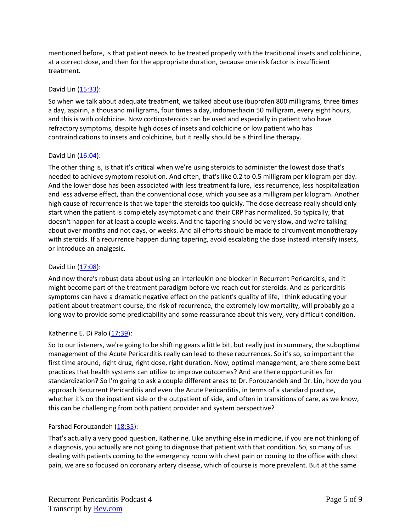mentioned before, is that patient needs to be treated properly with the traditional insets and colchicine, at a correct dose, and then for the appropriate duration, because one risk factor is insufficient treatment.

## David Lin [\(15:33\)](https://www.rev.com/transcript-editor/Edit?token=hzxLQR2hWzdUzn0j5th29c6WY8gHZxqC0x8dNM1tRjkCWwJDtb2IUnCWijM6VY_m5tYo9YvotuUvI6Kk4Fcs5kLm37o&loadFrom=DocumentDeeplink&ts=933.21):

So when we talk about adequate treatment, we talked about use ibuprofen 800 milligrams, three times a day, aspirin, a thousand milligrams, four times a day, indomethacin 50 milligram, every eight hours, and this is with colchicine. Now corticosteroids can be used and especially in patient who have refractory symptoms, despite high doses of insets and colchicine or low patient who has contraindications to insets and colchicine, but it really should be a third line therapy.

## David Lin [\(16:04\)](https://www.rev.com/transcript-editor/Edit?token=0nJCm26WB0TzYS6Aj40SZT2oeGgFsvmLLFeM4maNTg0xVoGtWyqXL6nZThwI4EGy1J6ohPv-iIM_mEl33y-V1x9-57g&loadFrom=DocumentDeeplink&ts=964.6):

The other thing is, is that it's critical when we're using steroids to administer the lowest dose that's needed to achieve symptom resolution. And often, that's like 0.2 to 0.5 milligram per kilogram per day. And the lower dose has been associated with less treatment failure, less recurrence, less hospitalization and less adverse effect, than the conventional dose, which you see as a milligram per kilogram. Another high cause of recurrence is that we taper the steroids too quickly. The dose decrease really should only start when the patient is completely asymptomatic and their CRP has normalized. So typically, that doesn't happen for at least a couple weeks. And the tapering should be very slow, and we're talking about over months and not days, or weeks. And all efforts should be made to circumvent monotherapy with steroids. If a recurrence happen during tapering, avoid escalating the dose instead intensify insets, or introduce an analgesic.

## David Lin [\(17:08\)](https://www.rev.com/transcript-editor/Edit?token=vOcF0djNGAg-y6jvM4Lgi0JTXALjna2nF04q6M69CUfwPAcbD6hy_zLs3gaMsAm_4SH2RCWERHZscGiKv3-y9-RYhFA&loadFrom=DocumentDeeplink&ts=1028.32):

And now there's robust data about using an interleukin one blocker in Recurrent Pericarditis, and it might become part of the treatment paradigm before we reach out for steroids. And as pericarditis symptoms can have a dramatic negative effect on the patient's quality of life, I think educating your patient about treatment course, the risk of recurrence, the extremely low mortality, will probably go a long way to provide some predictability and some reassurance about this very, very difficult condition.

# Katherine E. Di Palo [\(17:39\)](https://www.rev.com/transcript-editor/Edit?token=x8mhVDI4mIfm9Of2Id5BCXg0h7PJvD73k9vXkrGZ0Y7aDzv21R6FjOMzuwguIzVGb7XWxSw5mudQSJBZ3wdLBaITHq8&loadFrom=DocumentDeeplink&ts=1059.72):

So to our listeners, we're going to be shifting gears a little bit, but really just in summary, the suboptimal management of the Acute Pericarditis really can lead to these recurrences. So it's so, so important the first time around, right drug, right dose, right duration. Now, optimal management, are there some best practices that health systems can utilize to improve outcomes? And are there opportunities for standardization? So I'm going to ask a couple different areas to Dr. Forouzandeh and Dr. Lin, how do you approach Recurrent Pericarditis and even the Acute Pericarditis, in terms of a standard practice, whether it's on the inpatient side or the outpatient of side, and often in transitions of care, as we know, this can be challenging from both patient provider and system perspective?

### Farshad Forouzandeh [\(18:35\)](https://www.rev.com/transcript-editor/Edit?token=krodU0Y9Wypv_BVGNrsX8gAfSJ5RhMtPz0tjzTv2Ybhb8XgGXP7x4LfGj9zLp3lUs45IVlSaJ_58Jlf_icjxMzu_Hz8&loadFrom=DocumentDeeplink&ts=1115.25):

That's actually a very good question, Katherine. Like anything else in medicine, if you are not thinking of a diagnosis, you actually are not going to diagnose that patient with that condition. So, so many of us dealing with patients coming to the emergency room with chest pain or coming to the office with chest pain, we are so focused on coronary artery disease, which of course is more prevalent. But at the same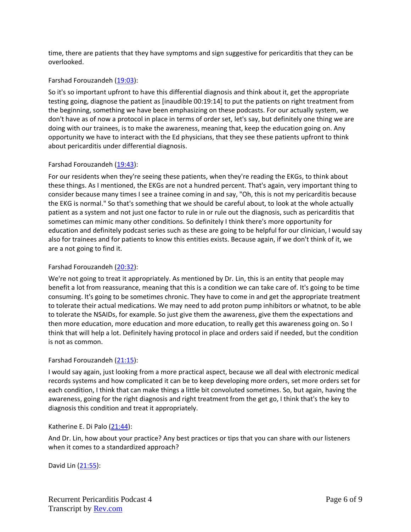time, there are patients that they have symptoms and sign suggestive for pericarditis that they can be overlooked.

## Farshad Forouzandeh [\(19:03\)](https://www.rev.com/transcript-editor/Edit?token=KNOnKecHzFS1oP79cATtUQ2Fip--pYBLhd1Jdcwru7ItshuR897sdPt2bKCBRFZ_ozdAXbFo4n6lwwn0fxbdk3jrLt4&loadFrom=DocumentDeeplink&ts=1143.74):

So it's so important upfront to have this differential diagnosis and think about it, get the appropriate testing going, diagnose the patient as [inaudible 00:19:14] to put the patients on right treatment from the beginning, something we have been emphasizing on these podcasts. For our actually system, we don't have as of now a protocol in place in terms of order set, let's say, but definitely one thing we are doing with our trainees, is to make the awareness, meaning that, keep the education going on. Any opportunity we have to interact with the Ed physicians, that they see these patients upfront to think about pericarditis under differential diagnosis.

## Farshad Forouzandeh [\(19:43\)](https://www.rev.com/transcript-editor/Edit?token=WaPUk3Lq5bYa8Q1tM-oOjHgrqjO0CjUdGnCqxtw_jSjIIorYxzY8LcAI7OIL761IXQ2kBLqlCaEHCPmElBR6TPV0w6c&loadFrom=DocumentDeeplink&ts=1183.97):

For our residents when they're seeing these patients, when they're reading the EKGs, to think about these things. As I mentioned, the EKGs are not a hundred percent. That's again, very important thing to consider because many times I see a trainee coming in and say, "Oh, this is not my pericarditis because the EKG is normal." So that's something that we should be careful about, to look at the whole actually patient as a system and not just one factor to rule in or rule out the diagnosis, such as pericarditis that sometimes can mimic many other conditions. So definitely I think there's more opportunity for education and definitely podcast series such as these are going to be helpful for our clinician, I would say also for trainees and for patients to know this entities exists. Because again, if we don't think of it, we are a not going to find it.

### Farshad Forouzandeh [\(20:32\)](https://www.rev.com/transcript-editor/Edit?token=unZ92MvikfyVcSmCwTBG51UgPaLFhr7iWpL-Vt0VXxg9GVY3KDrYbR_9_irfdwO08m8aFregS2bBSihhzi5iu-VGP88&loadFrom=DocumentDeeplink&ts=1232.03):

We're not going to treat it appropriately. As mentioned by Dr. Lin, this is an entity that people may benefit a lot from reassurance, meaning that this is a condition we can take care of. It's going to be time consuming. It's going to be sometimes chronic. They have to come in and get the appropriate treatment to tolerate their actual medications. We may need to add proton pump inhibitors or whatnot, to be able to tolerate the NSAIDs, for example. So just give them the awareness, give them the expectations and then more education, more education and more education, to really get this awareness going on. So I think that will help a lot. Definitely having protocol in place and orders said if needed, but the condition is not as common.

### Farshad Forouzandeh [\(21:15\)](https://www.rev.com/transcript-editor/Edit?token=0DfNS4G9TStpKia6Nv2Jb3FX9oIlJJcdnvfmZMT9sfQms7bcpMDU723h99mTSN_ztPY2HhzZVsZ1vy0UJFRhFRIhbaI&loadFrom=DocumentDeeplink&ts=1275.75):

I would say again, just looking from a more practical aspect, because we all deal with electronic medical records systems and how complicated it can be to keep developing more orders, set more orders set for each condition, I think that can make things a little bit convoluted sometimes. So, but again, having the awareness, going for the right diagnosis and right treatment from the get go, I think that's the key to diagnosis this condition and treat it appropriately.

### Katherine E. Di Palo [\(21:44\)](https://www.rev.com/transcript-editor/Edit?token=sb1AMAJXqz9pi5L5PN4mFGBLX37rfy8kz_ahxURQsCwd2Czh7HsH_-mzEhMx2efaDKAf1xjFvNhSx37TeBI3as9Q9QE&loadFrom=DocumentDeeplink&ts=1304.91):

And Dr. Lin, how about your practice? Any best practices or tips that you can share with our listeners when it comes to a standardized approach?

David Lin [\(21:55\)](https://www.rev.com/transcript-editor/Edit?token=4LjMkC8scye5iV1CI2eoRtEI0BDn6WSN6mkbkMWiyeEMSViah0ZSdSN_rNKSYOQ_CcfFGOosO7DP0CPIx4b4ajGycXs&loadFrom=DocumentDeeplink&ts=1315.26):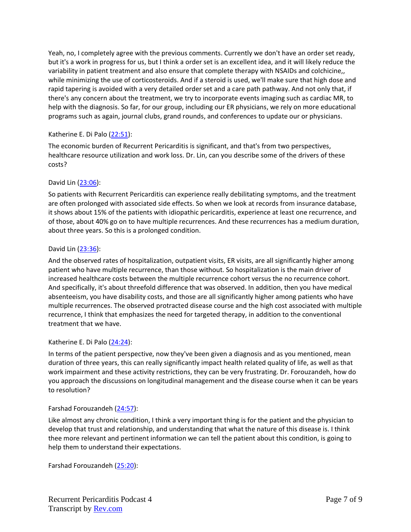Yeah, no, I completely agree with the previous comments. Currently we don't have an order set ready, but it's a work in progress for us, but I think a order set is an excellent idea, and it will likely reduce the variability in patient treatment and also ensure that complete therapy with NSAIDs and colchicine,, while minimizing the use of corticosteroids. And if a steroid is used, we'll make sure that high dose and rapid tapering is avoided with a very detailed order set and a care path pathway. And not only that, if there's any concern about the treatment, we try to incorporate events imaging such as cardiac MR, to help with the diagnosis. So far, for our group, including our ER physicians, we rely on more educational programs such as again, journal clubs, grand rounds, and conferences to update our or physicians.

# Katherine E. Di Palo [\(22:51\)](https://www.rev.com/transcript-editor/Edit?token=n8OhvWzPIANvCYEq_A2ntTeTsegyvzIfZT4O-rctPEkSwuXN0OsnT28FuEpW1ZaKufdisJFoRsgxwbC7qwv9qTIL5LQ&loadFrom=DocumentDeeplink&ts=1371.15):

The economic burden of Recurrent Pericarditis is significant, and that's from two perspectives, healthcare resource utilization and work loss. Dr. Lin, can you describe some of the drivers of these costs?

## David Lin [\(23:06\)](https://www.rev.com/transcript-editor/Edit?token=efTLRfXWtveb7LrR3jpCqRreyacFi9cRF5MgWhBptJj2OulYZuUn33pdRGKjTUBDnlAcMlLkDbIboCxOL1srDIQflRE&loadFrom=DocumentDeeplink&ts=1386.11):

So patients with Recurrent Pericarditis can experience really debilitating symptoms, and the treatment are often prolonged with associated side effects. So when we look at records from insurance database, it shows about 15% of the patients with idiopathic pericarditis, experience at least one recurrence, and of those, about 40% go on to have multiple recurrences. And these recurrences has a medium duration, about three years. So this is a prolonged condition.

## David Lin [\(23:36\)](https://www.rev.com/transcript-editor/Edit?token=KF9V424hD9llqf9flrRxVYuBu2H9qezrxaQ5-LJ4HUz_9UzZub_Jm3F5qs5J_7aJC-CNKnyMZdxGTaMOUeqJXqMMWIk&loadFrom=DocumentDeeplink&ts=1416.91):

And the observed rates of hospitalization, outpatient visits, ER visits, are all significantly higher among patient who have multiple recurrence, than those without. So hospitalization is the main driver of increased healthcare costs between the multiple recurrence cohort versus the no recurrence cohort. And specifically, it's about threefold difference that was observed. In addition, then you have medical absenteeism, you have disability costs, and those are all significantly higher among patients who have multiple recurrences. The observed protracted disease course and the high cost associated with multiple recurrence, I think that emphasizes the need for targeted therapy, in addition to the conventional treatment that we have.

### Katherine E. Di Palo [\(24:24\)](https://www.rev.com/transcript-editor/Edit?token=aGFr_2LxFiLwPlPvxg5CahaGS6lI3yG40rZ1tPs90pHQAN9SdN60nbXdzJAAMx9hajO2y1ccboKziRCuUiDdZ7k09lc&loadFrom=DocumentDeeplink&ts=1464.93):

In terms of the patient perspective, now they've been given a diagnosis and as you mentioned, mean duration of three years, this can really significantly impact health related quality of life, as well as that work impairment and these activity restrictions, they can be very frustrating. Dr. Forouzandeh, how do you approach the discussions on longitudinal management and the disease course when it can be years to resolution?

# Farshad Forouzandeh [\(24:57\)](https://www.rev.com/transcript-editor/Edit?token=NccT0XFKTnMiANFGgBNXMtKBUm3PevsgpiY1P2eoJaKGZclkUxi-UkaRZX2W1EuVz6uzqkyvkiRUN2tp9YV1oN4L3qg&loadFrom=DocumentDeeplink&ts=1497.63):

Like almost any chronic condition, I think a very important thing is for the patient and the physician to develop that trust and relationship, and understanding that what the nature of this disease is. I think thee more relevant and pertinent information we can tell the patient about this condition, is going to help them to understand their expectations.

Farshad Forouzandeh [\(25:20\)](https://www.rev.com/transcript-editor/Edit?token=tF41u6VJaUHMf-CG-kXhX9zxAgHotCIofnhuwbd_i7sMmwCNiLGasTok-_jKGOE9euA6MdLauJysiiomx_oijKHsFl4&loadFrom=DocumentDeeplink&ts=1520.86):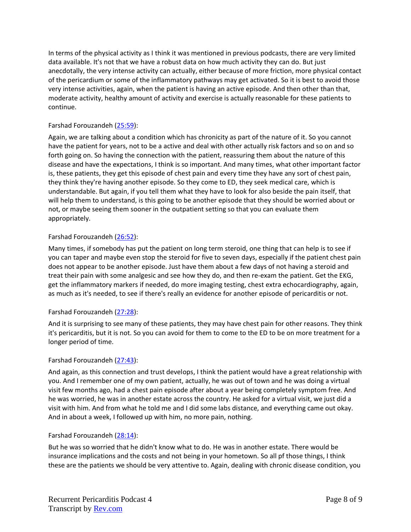In terms of the physical activity as I think it was mentioned in previous podcasts, there are very limited data available. It's not that we have a robust data on how much activity they can do. But just anecdotally, the very intense activity can actually, either because of more friction, more physical contact of the pericardium or some of the inflammatory pathways may get activated. So it is best to avoid those very intense activities, again, when the patient is having an active episode. And then other than that, moderate activity, healthy amount of activity and exercise is actually reasonable for these patients to continue.

## Farshad Forouzandeh [\(25:59\)](https://www.rev.com/transcript-editor/Edit?token=rfSqh3opsgXAExi04r0_zZKvHtpsEw8Y7M7c6e2BLhWYZc_Cezxbz_zQKQ6a0_oeDHq0WFsMY1mvL3ytNi0p_vDKj0U&loadFrom=DocumentDeeplink&ts=1559.19):

Again, we are talking about a condition which has chronicity as part of the nature of it. So you cannot have the patient for years, not to be a active and deal with other actually risk factors and so on and so forth going on. So having the connection with the patient, reassuring them about the nature of this disease and have the expectations, I think is so important. And many times, what other important factor is, these patients, they get this episode of chest pain and every time they have any sort of chest pain, they think they're having another episode. So they come to ED, they seek medical care, which is understandable. But again, if you tell them what they have to look for also beside the pain itself, that will help them to understand, is this going to be another episode that they should be worried about or not, or maybe seeing them sooner in the outpatient setting so that you can evaluate them appropriately.

## Farshad Forouzandeh [\(26:52\)](https://www.rev.com/transcript-editor/Edit?token=NoUHS8vS5FIAxo1rhs5kVEBmcPicUeGi5zgNXJxq3VPKz6lQ15Dq2tDRdtWr45tODafHR8B2Id9QSYuyRUiyD3a9x24&loadFrom=DocumentDeeplink&ts=1612.51):

Many times, if somebody has put the patient on long term steroid, one thing that can help is to see if you can taper and maybe even stop the steroid for five to seven days, especially if the patient chest pain does not appear to be another episode. Just have them about a few days of not having a steroid and treat their pain with some analgesic and see how they do, and then re-exam the patient. Get the EKG, get the inflammatory markers if needed, do more imaging testing, chest extra echocardiography, again, as much as it's needed, to see if there's really an evidence for another episode of pericarditis or not.

### Farshad Forouzandeh [\(27:28\)](https://www.rev.com/transcript-editor/Edit?token=kdPieZngJE1OGnEpc-S7P5TTTTRxTGNy6q7nYGRndGsm-dXmQpqJIsgSqdQauZ9Kht1jIIsfjjr4gjcRtGfo1UPSbFQ&loadFrom=DocumentDeeplink&ts=1648.76):

And it is surprising to see many of these patients, they may have chest pain for other reasons. They think it's pericarditis, but it is not. So you can avoid for them to come to the ED to be on more treatment for a longer period of time.

### Farshad Forouzandeh [\(27:43\)](https://www.rev.com/transcript-editor/Edit?token=4lJ6BvECuzqaILnyJyXWspxzitp0YtW5CHd30BdmxoZTp8Oi8l3tKjmOX3txu0uB-2h8xRF2C6VyiwFAJ1_CCU_5qZw&loadFrom=DocumentDeeplink&ts=1663.14):

And again, as this connection and trust develops, I think the patient would have a great relationship with you. And I remember one of my own patient, actually, he was out of town and he was doing a virtual visit few months ago, had a chest pain episode after about a year being completely symptom free. And he was worried, he was in another estate across the country. He asked for a virtual visit, we just did a visit with him. And from what he told me and I did some labs distance, and everything came out okay. And in about a week, I followed up with him, no more pain, nothing.

### Farshad Forouzandeh [\(28:14\)](https://www.rev.com/transcript-editor/Edit?token=vC8kaAtHQE5hzDEtR9i5wTz-ihaAxOs1Gy3tgoA9T6fQCDUNeW1f_LX8SqBCDeMRsDVvJR60WZMk4m0UJj2UDGoAb9U&loadFrom=DocumentDeeplink&ts=1694.17):

But he was so worried that he didn't know what to do. He was in another estate. There would be insurance implications and the costs and not being in your hometown. So all pf those things, I think these are the patients we should be very attentive to. Again, dealing with chronic disease condition, you